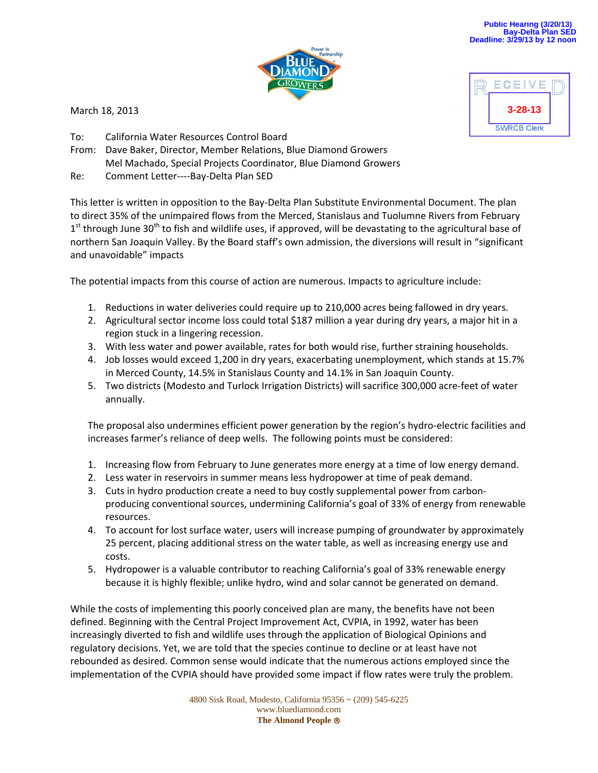

March 18, 2013

- To: California Water Resources Control Board
- From: Dave Baker, Director, Member Relations, Blue Diamond Growers Mel Machado, Special Projects Coordinator, Blue Diamond Growers
- Re: Comment Letter----Bay-Delta Plan SED

This letter is written in opposition to the Bay‐Delta Plan Substitute Environmental Document. The plan to direct 35% of the unimpaired flows from the Merced, Stanislaus and Tuolumne Rivers from February  $1<sup>st</sup>$  through June 30<sup>th</sup> to fish and wildlife uses, if approved, will be devastating to the agricultural base of northern San Joaquin Valley. By the Board staff's own admission, the diversions will result in "significant and unavoidable" impacts

The potential impacts from this course of action are numerous. Impacts to agriculture include:

- 1. Reductions in water deliveries could require up to 210,000 acres being fallowed in dry years.
- 2. Agricultural sector income loss could total \$187 million a year during dry years, a major hit in a region stuck in a lingering recession.
- 3. With less water and power available, rates for both would rise, further straining households.
- 4. Job losses would exceed 1,200 in dry years, exacerbating unemployment, which stands at 15.7% in Merced County, 14.5% in Stanislaus County and 14.1% in San Joaquin County.
- 5. Two districts (Modesto and Turlock Irrigation Districts) will sacrifice 300,000 acre-feet of water annually.

The proposal also undermines efficient power generation by the region's hydro‐electric facilities and increases farmer's reliance of deep wells. The following points must be considered:

- 1. Increasing flow from February to June generates more energy at a time of low energy demand.
- 2. Less water in reservoirs in summer means less hydropower at time of peak demand.
- 3. Cuts in hydro production create a need to buy costly supplemental power from carbon‐ producing conventional sources, undermining California's goal of 33% of energy from renewable resources.
- 4. To account for lost surface water, users will increase pumping of groundwater by approximately 25 percent, placing additional stress on the water table, as well as increasing energy use and costs.
- 5. Hydropower is a valuable contributor to reaching California's goal of 33% renewable energy because it is highly flexible; unlike hydro, wind and solar cannot be generated on demand.

While the costs of implementing this poorly conceived plan are many, the benefits have not been defined. Beginning with the Central Project Improvement Act, CVPIA, in 1992, water has been increasingly diverted to fish and wildlife uses through the application of Biological Opinions and regulatory decisions. Yet, we are told that the species continue to decline or at least have not rebounded as desired. Common sense would indicate that the numerous actions employed since the implementation of the CVPIA should have provided some impact if flow rates were truly the problem.

> 4800 Sisk Road, Modesto, California 95356 ~ (209) 545-6225 www.bluediamond.com **The Almond People**